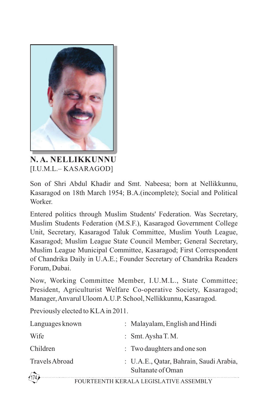

**N. A. NELLIKKUNNU** [I.U.M.L.– KASARAGOD]

Son of Shri Abdul Khadir and Smt. Nabeesa; born at Nellikkunnu, Kasaragod on 18th March 1954; B.A.(incomplete); Social and Political Worker.

Entered politics through Muslim Students' Federation. Was Secretary, Muslim Students Federation (M.S.F.), Kasaragod Government College Unit, Secretary, Kasaragod Taluk Committee, Muslim Youth League, Kasaragod; Muslim League State Council Member; General Secretary, Muslim League Municipal Committee, Kasaragod; First Correspondent of Chandrika Daily in U.A.E.; Founder Secretary of Chandrika Readers Forum, Dubai.

Now, Working Committee Member, I.U.M.L., State Committee; President, Agriculturist Welfare Co-operative Society, Kasaragod; Manager, Anvarul Uloom A.U.P. School, Nellikkunnu, Kasaragod.

Previously elected to KLAin 2011.

| Languages known                                      |  | : Malayalam, English and Hindi                               |  |  |
|------------------------------------------------------|--|--------------------------------------------------------------|--|--|
| Wife                                                 |  | : $Smt. Aysha T. M.$                                         |  |  |
| Children                                             |  | : Two daughters and one son                                  |  |  |
| Travels Abroad                                       |  | : U.A.E., Qatar, Bahrain, Saudi Arabia,<br>Sultanate of Oman |  |  |
| (174)<br>EQUIDTEENTU IZED AL A I EQISLATIVE ASSEMBLY |  |                                                              |  |  |